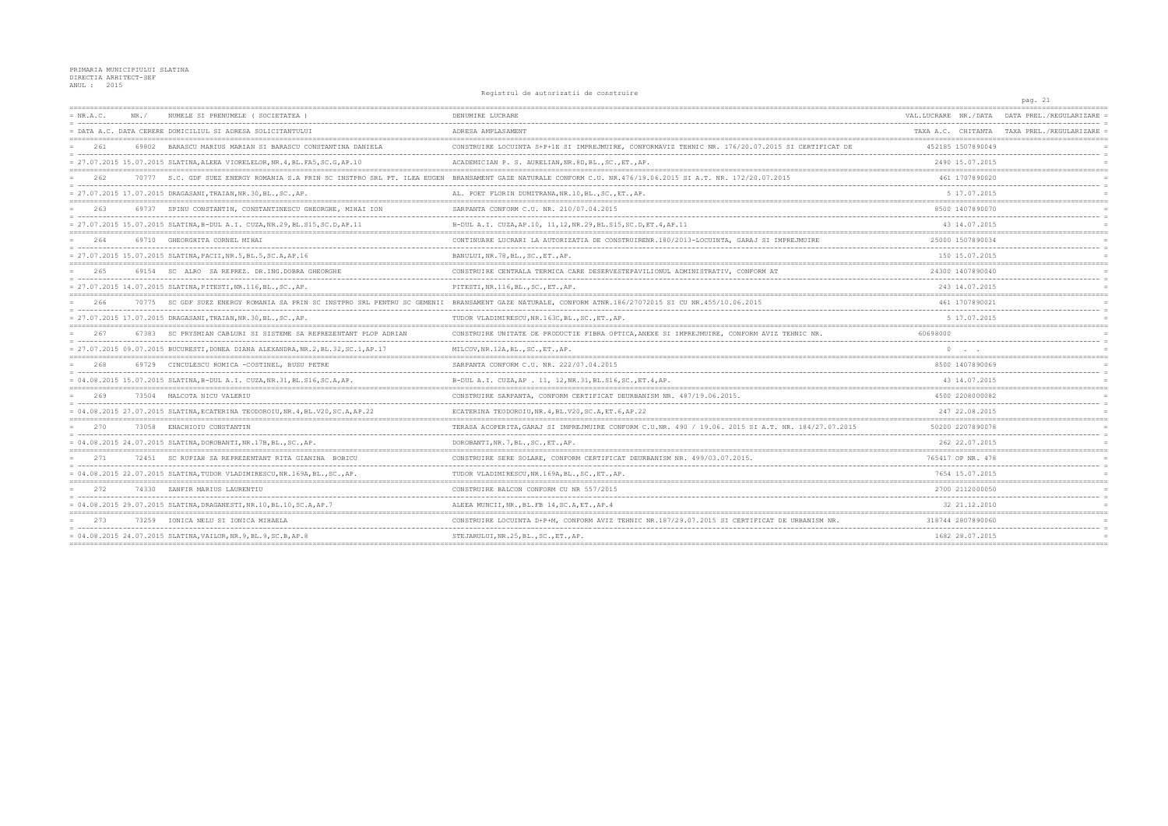Registrul de autorizatii de construire

|             |       |                                                                                    | REATSCHAT AG AALOITSACTI AG CONSCIATIO                                                                                                                       |                                            | pag. 21                                    |
|-------------|-------|------------------------------------------------------------------------------------|--------------------------------------------------------------------------------------------------------------------------------------------------------------|--------------------------------------------|--------------------------------------------|
| $= NR.A.C.$ | NR. / | NUMELE SI PRENUMELE (SOCIETATEA                                                    | DENUMIRE LUCRARE                                                                                                                                             | VAL.LUCRARE NR./DATA                       | DATA PREL./REGULARIZARE                    |
|             |       | DATA A.C. DATA CERERE DOMICILIUL SI ADRESA SOLICITANTULUI                          | ADRESA AMPLASAMENT                                                                                                                                           |                                            | TAXA A.C. CHITANTA TAXA PREL./REGULARIZARE |
| 261         | 69802 | BARASCU MARIUS MARIAN SI BARASCU CONSTANTINA DANIELA                               | CONSTRUIRE LOCUINTA S+P+1E SI IMPREJMUIRE, CONFORMAVIZ TEHNIC NR. 176/20.07.2015 SI CERTIFICAT DE                                                            | 452185 1507890049                          |                                            |
|             |       | = 27.07.2015 15.07.2015 SLATINA, ALEEA VIORELELOR, NR. 4, BL. FA5, SC. G, AP. 10   | ACADEMICIAN P. S. AURELIAN, NR. 8D, BL., SC., ET., AP.                                                                                                       | 2490 15.07.2015                            |                                            |
| 2.62        |       |                                                                                    | 70777 S.C. GDF SUEZ ENERGY ROMANIA S.A PRIN SC INSTPRO SRL PT. ILEA EUGEN BRANSAMENT GAZE NATURALE CONFORM C.U. NR.476/19.06.2015 SI A.T. NR. 172/20.07.2015 | 461 1707890020                             |                                            |
|             |       | = 27.07.2015 17.07.2015 DRAGASANI, TRAIAN, NR.30, BL., SC., AP.                    | AL. POET FLORIN DUMITRANA, NR. 10, BL., SC., ET., AP.                                                                                                        | 5 17.07.2015                               |                                            |
| 263         |       | 69737 SPINU CONSTANTIN, CONSTANTINESCU GHEORGHE, MIHAI ION                         | SARPANTA CONFORM C.U. NR. 210/07.04.2015                                                                                                                     | 8500 1407890070                            |                                            |
|             |       | = 27.07.2015 15.07.2015 SLATINA, B-DUL A.I. CUZA, NR.29, BL.S15, SC.D, AP.11       | B-DUL A.I. CUZA, AP.10, 11, 12, NR.29, BL. S15, SC.D, ET. 4, AP.11                                                                                           | 43 14.07.2015                              |                                            |
| 264         |       | 69710 GHEORGHITA CORNEL MIHAI                                                      | CONTINUARE LUCRARI LA AUTORIZATIA DE CONSTRUIRENR.180/2013-LOCUINTA, GARAJ SI IMPREJMUIRE                                                                    | 25000 1507890034                           |                                            |
|             |       | = 27.07.2015 15.07.2015 SLATINA, PACII, NR.5, BL.5, SC.A, AP.16                    | BANULUI, NR.78, BL., SC., ET., AP.                                                                                                                           | 150 15.07.2015                             |                                            |
| 265         |       | 69154 SC ALRO SA REPREZ. DR.ING.DOBRA GHEORGHE                                     | CONSTRUIRE CENTRALA TERMICA CARE DESERVESTEPAVILIONUL ADMINISTRATIV, CONFORM AT                                                                              | 24300 1407890040                           |                                            |
|             |       | = 27.07.2015 14.07.2015 SLATINA, PITESTI, NR.116, BL., SC., AP.                    | PITESTI, NR.116, BL., SC., ET., AP.                                                                                                                          | 243 14.07.2015                             |                                            |
| 266         |       |                                                                                    | 70775 SC GDF SUEZ ENERGY ROMANIA SA PRIN SC INSTPRO SRL PENTRU SC GEMENII BRANSAMENT GAZE NATURALE, CONFORM ATNR.186/27072015 SI CU NR.455/10.06.2015        | 461 1707890021                             |                                            |
|             |       | = 27.07.2015 17.07.2015 DRAGASANI, TRAIAN, NR.30, BL., SC., AP.                    | TUDOR VLADIMIRESCU, NR.163C, BL., SC., ET., AP.                                                                                                              | 5 17.07.2015                               |                                            |
| 267         | 67383 | SC PRYSMIAN CABLURI SI SISTEME SA REPREZENTANT PLOP ADRIAN                         | CONSTRUIRE UNITATE DE PRODUCTIE FIBRA OPTICA, ANEXE SI IMPREJMUIRE, CONFORM AVIZ TEHNIC NR.                                                                  | 60698000                                   |                                            |
|             |       | = 27.07.2015 09.07.2015 BUCURESTI, DONEA DIANA ALEXANDRA, NR.2, BL.32, SC.1, AP.17 | MILCOV, NR.12A, BL., SC., ET., AP.                                                                                                                           |                                            |                                            |
| 2.68        |       | 69729 CINCULESCU ROMICA -COSTINEL, BUSU PETRE                                      | SARPANTA CONFORM C.U. NR. 222/07.04.2015                                                                                                                     | 8500 1407890069                            |                                            |
|             |       | = 04.08.2015 15.07.2015 SLATINA, B-DUL A.I. CUZA, NR.31, BL.S16, SC.A, AP.         | B-DUL A.I. CUZA, AP . 11, 12, NR. 31, BL. S16, SC., ET. 4, AP.                                                                                               | 43 14.07.2015                              |                                            |
| 269         |       | 73504 MALCOTA NICU VALERIU                                                         | CONSTRUIRE SARPANTA, CONFORM CERTIFICAT DEURBANISM NR. 487/19.06.2015.                                                                                       | 4500 2208000082                            |                                            |
|             |       | = 04.08.2015 27.07.2015 SLATINA.ECATERINA TEODOROIU.NR.4.BL.V20.SC.A.AP.22         | ECATERINA TEODOROIU, NR. 4, BL. V20, SC. A, ET. 6, AP. 22                                                                                                    | 247 22.08.2015                             |                                            |
| 270         | 73058 | ENACHIOIU CONSTANTIN                                                               | TERASA ACOPERITA, GARAJ SI IMPREJMUIRE CONFORM C.U.NR. 490 / 19.06. 2015 SI A.T. NR. 184/27.07.2015                                                          | 50200 2207890078                           |                                            |
|             |       | = 04.08.2015 24.07.2015 SLATINA, DOROBANTI, NR.17B, BL., SC., AP                   | DOROBANTI, NR. 7, BL., SC., ET., AP.                                                                                                                         | 262 22.07.2015                             |                                            |
| 271         |       | 72451 SC RUPIAH SA REPREZENTANT RITA GIANINA BOBICU                                | CONSTRUIRE SERE SOLARE, CONFORM CERTIFICAT DEURBANISM NR. 499/03.07.2015.                                                                                    | 765417 OP NR. 478                          |                                            |
|             |       | = 04.08.2015 22.07.2015 SLATINA, TUDOR VLADIMIRESCU, NR.169A, BL., SC., AP         | TUDOR VLADIMIRESCU, NR.169A, BL., SC., ET., AP.                                                                                                              | 7654 15.07.2015                            |                                            |
| 272         |       | 74330 ZANFIR MARIUS LAURENTIU                                                      | CONSTRUIRE BALCON CONFORM CU NR 557/2015                                                                                                                     | 2700 2112000050                            |                                            |
|             |       | = 04.08.2015 29.07.2015 SLATINA, DRAGANESTI, NR.10, BL.10, SC.A, AP.7              | ALEEA MUNCII, NR., BL.FB 14, SC.A, ET., AP. 4                                                                                                                | . <u>.</u> .<br>32 21.12.2010              |                                            |
| -273        |       | 73259 IONICA NELU SI IONICA MIHAELA                                                | CONSTRUIRE LOCUINTA D+P+M, CONFORM AVIZ TEHNIC NR.187/29.07.2015 SI CERTIFICAT DE URBANISM NR.                                                               | 318744 2807890060                          |                                            |
|             |       | = 04.08.2015 24.07.2015 SLATINA, VAILOR, NR. 9, BL. 9, SC. B, AP. 8                | STEJARULUI, NR.25, BL., SC., ET., AP.                                                                                                                        | 1682 28.07.2015<br>;====================== |                                            |
|             |       |                                                                                    |                                                                                                                                                              |                                            |                                            |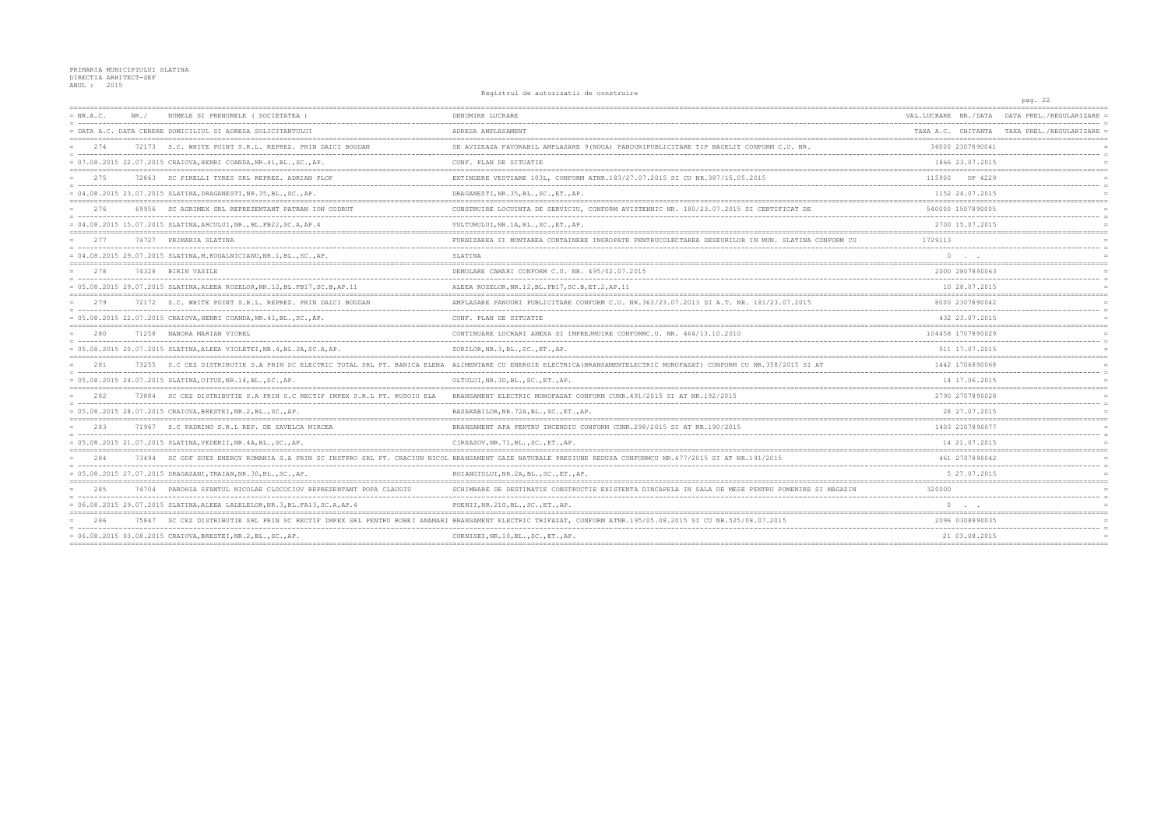Registrul de autorizatii de construire

|             |       |                                                                              |                                                                                                                                                                       |                       | pay. 22                                      |
|-------------|-------|------------------------------------------------------------------------------|-----------------------------------------------------------------------------------------------------------------------------------------------------------------------|-----------------------|----------------------------------------------|
| $= NR.A.C.$ | NR. / | NUMELE SI PRENUMELE ( SOCIETATEA )                                           | DENUMIRE LUCRARE                                                                                                                                                      |                       | VAL.LUCRARE NR./DATA DATA PREL./REGULARIZARE |
|             |       | = DATA A.C. DATA CERERE DOMICILIUL SI ADRESA SOLICITANTULUI                  | ADRESA AMPLASAMENT                                                                                                                                                    | TAXA A.C. CHITANTA    | TAXA PREL./REGULARIZARE                      |
| 2.74        |       | 72173 S.C. WHITE POINT S.R.L. REPREZ. PRIN DAICI BOGDAN                      | SE AVIZEAZA FAVORABIL AMPLASARE 9(NOUA) PANOURIPUBLICITARE TIP BACKLIT CONFORM C.U. NR.                                                                               | 36000 2307890041      |                                              |
|             |       | = 07.08.2015 22.07.2015 CRAIOVA, HENRI COANDA, NR. 41, BL., SC., AP.         | CONF. PLAN DE SITUATIE                                                                                                                                                | 1866 23.07.2015       |                                              |
| 275         |       | 72863 SC PIRELLI TYRES SRL REPREZ. ADRIAN PLOP                               | EXTINDERE VESTIARE 103L, CONFORM ATNR.183/27.07.2015 SI CU NR.387/15.05.2015                                                                                          | 115900<br>OP 4229     |                                              |
|             |       | = 04.08.2015 23.07.2015 SLATINA, DRAGANESTI, NR.35, BL., SC., AP.            | DRAGANESTI, NR.35, BL., SC., ET., AP.                                                                                                                                 | 1152 24.07.2015       |                                              |
| 276         |       | 69956 SC AGRIMEX SRL REPREZENTANT PATRAN ION CODRUT                          | CONSTRUIRE LOCUINTA DE SERVICIU, CONFORM AVIZTEHNIC NR. 180/23.07.2015 SI CERTIFICAT DE                                                                               | 540000 1507890005     |                                              |
|             |       | = 04.08.2015 15.07.2015 SLATINA, ARCULUI, NR., BL. FB22, SC. A, AP. 4        | VULTURULUI, NR.1A, BL., SC., ET., AP.                                                                                                                                 | 2700 15.07.2015       |                                              |
| 2.77        |       | 74727 PRIMARIA SLATINA                                                       | FURNIZAREA SI MONTAREA CONTAINERE INGROPATE PENTRUCOLECTAREA DESEURILOR IN MUN. SLATINA CONFORM CU                                                                    | 1729113               |                                              |
|             |       | = 04.08.2015 29.07.2015 SLATINA, M. KOGALNICIANU, NR. 1, BL., SC., AP.       | SLATINA                                                                                                                                                               | $0 \qquad . \qquad .$ |                                              |
| 2.78        |       | 74328 BIRIN VASILE                                                           | DEMOLARE CAMARI CONFORM C.U. NR. 495/02.07.2015                                                                                                                       | 2000 2807890063       |                                              |
|             |       | = 05.08.2015 29.07.2015 SLATINA, ALEEA ROZELOR, NR.12, BL.FB17, SC.B, AP.11  | ALEEA ROZELOR, NR.12, BL. FB17, SC.B, ET.2, AP.11                                                                                                                     | 10 28.07.2015         |                                              |
| 279         |       | 72172 S.C. WHITE POINT S.R.L. REPREZ. PRIN DAICI BOGDAN                      | AMPLASARE PANOURI PUBLICITARE CONFORM C.U. NR.363/23.07.2013 SI A.T. NR. 181/23.07.2015                                                                               | 8000 2307890042       |                                              |
|             |       | = 05.08.2015 22.07.2015 CRAIOVA, HENRI COANDA, NR.41, BL., SC., AP.          | CONF. PLAN DE SITUATIE                                                                                                                                                | 432 23.07.2015        |                                              |
| 280         |       | 71258 NANORA MARIAN VIOREL                                                   | CONTINUARE LUCRARI ANEXA SI IMPREJMUIRE CONFORMC.U. NR. 464/13.10.2010                                                                                                | 104458 1707890029     |                                              |
|             |       | = 05.08.2015 20.07.2015 SLATINA, ALEEA VIOLETEI, NR.4, BL.2A, SC.A, AP.      | ZORILOR, NR. 3, BL., SC., ET., AP.                                                                                                                                    | 511 17.07.2015        |                                              |
| 281         |       |                                                                              | 73255 S.C CEZ DISTRIBUTIE S.A PRIN SC ELECTRIC TOTAL SRL PT. BANICA ELENA ALIMENTARE CU ENERGIE ELECTRICA (BRANSAMENTELECTRIC MONOFAZAT) CONFORM CU NR.358/2015 SI AT | 1442 1706890068       |                                              |
|             |       | = 05.08.2015 24.07.2015 SLATINA, OITUZ, NR.14, BL., SC., AP.                 | OLTULUI, NR.3D, BL., SC., ET., AP.                                                                                                                                    | 14 17.06.2015         |                                              |
| 282         |       | 73884 SC CEZ DISTRIBUTIE S.A PRIN S.C RECTIF IMPEX S.R.L PT. RUSOIU ELA      | BRANSAMENT ELECTRIC MONOFAZAT CONFORM CUNR. 491/2015 SI AT NR. 192/2015                                                                                               | 2790 2707890028       |                                              |
|             |       | = 05.08.2015 28.07.2015 CRAIOVA, BRESTEI, NR.2, BL., SC., AP.                | BASARABILOR, NR. 72A, BL., SC., ET., AP.                                                                                                                              | 28 27.07.2015         |                                              |
| 283         |       | 71967 S.C PADRINO S.R.L REP. DE ZAVELCA MIRCEA                               | BRANSAMENT APA PENTRU INCENDIU CONFORM CUNR. 298/2015 SI AT NR. 190/2015                                                                                              | 1403 2107890077       |                                              |
|             |       | = 05.08.2015 21.07.2015 SLATINA, VEDERII, NR.4A, BL., SC., AP.               | CIREASOV, NR. 71, BL., SC., ET., AP.                                                                                                                                  | 14 21.07.2015         |                                              |
| 2.84        |       |                                                                              | 73494 SC GDF SUEZ ENERGY ROMANIA S.A PRIN SC INSTPRO SRL PT. CRACIUN NICOL BRANSAMENT GAZE NATURALE PRESIUNE REDUSA CONFORMCU NR.477/2015 SI AT NR.191/2015           | 461 2707890042        |                                              |
|             |       | = 05.08.2015 27.07.2015 DRAGASANI, TRAIAN, NR.30, BL., SC., AP.              | BOIANGIULUI, NR.2A, BL., SC., ET., AP.                                                                                                                                | 5 27.07.2015          |                                              |
| 285         |       | 74704 PAROHIA SFANTUL NICOLAE CLOCOCIOV REPREZENTANT POPA CLAUDIU            | SCHIMBARE DE DESTINATIE CONSTRUCTIE EXISTENTA DINCAPELA IN SALA DE MESE PENTRU POMENIRE SI MAGAZIN                                                                    | 320000                |                                              |
|             |       | = 06.08.2015 29.07.2015 SLATINA, ALEEA LALELELOR, NR.3, BL. FA13, SC.A, AP.4 | POENII, NR. 21G, BL., SC., ET., AP.                                                                                                                                   | $0 \qquad \qquad .$   |                                              |
| 286         |       |                                                                              | 75847 SC CEZ DISTRIBUTIE SRL PRIN SC RECTIF IMPEX SRL PENTRU BOBEI ANAMARI BRANSAMENT ELECTRIC TRIFAZAT, CONFORM ATNR.195/05.08.2015 SI CU NR.525/08.07.2015          | 2096 0308890035       |                                              |
|             |       | $= 06.08.2015 03.08.2015 CRAIOVA, BRESTEI, NR.2, BL., SC., AP.$              | CORNISEI, NR.10, BL., SC., ET., AP.                                                                                                                                   | 21 03.08.2015         |                                              |
|             |       |                                                                              |                                                                                                                                                                       |                       |                                              |

 $22$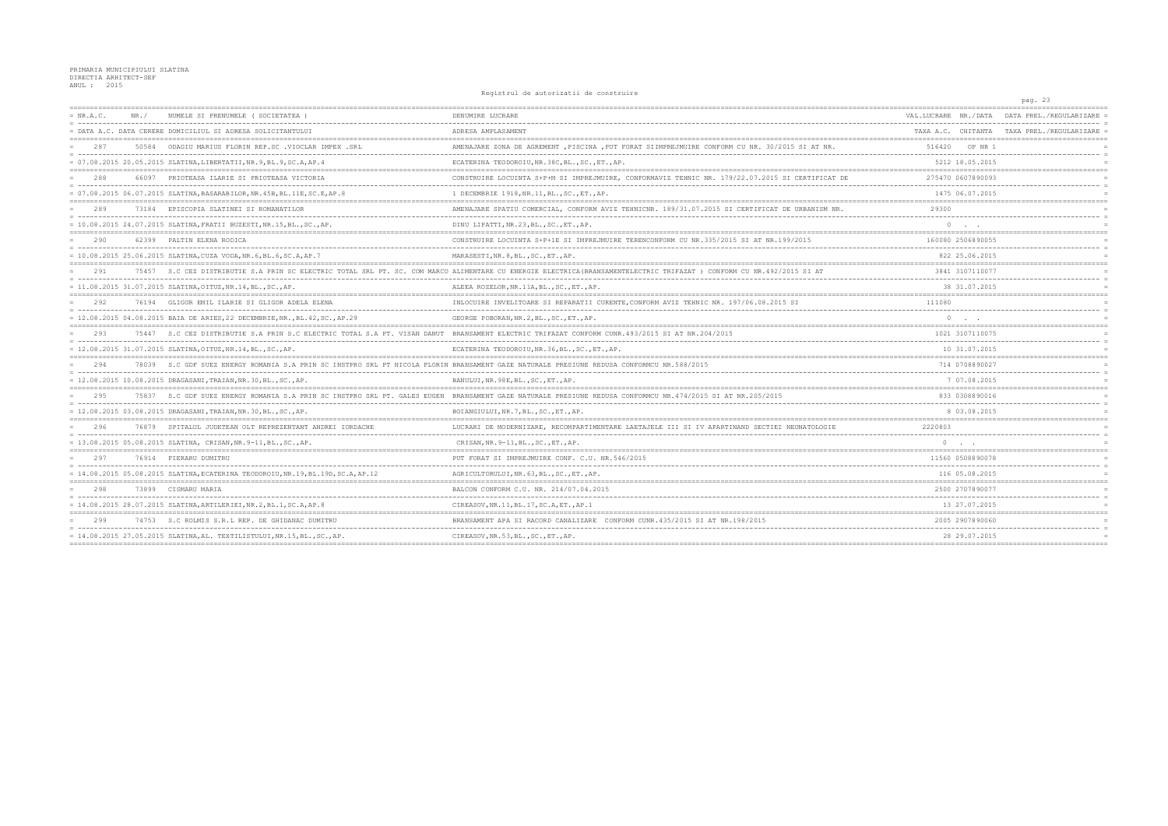Registrul de autorizatii de construire

|             |       |                                                                                                                                     | REGISTING AC GALLISALLI AS CONSTRIPTS                                                                                                                                  |                                                      | pag. 23                                    |
|-------------|-------|-------------------------------------------------------------------------------------------------------------------------------------|------------------------------------------------------------------------------------------------------------------------------------------------------------------------|------------------------------------------------------|--------------------------------------------|
| $= NR.A.C.$ | NR .  | NUMELE SI PRENUMELE (SOCIETATEA                                                                                                     | DENUMIRE LUCRARE                                                                                                                                                       | VAL.LUCRARE NR./DATA                                 | DATA PREL./REGULARIZARE                    |
|             |       | - DATA A.C. DATA CERERE DOMICILIUL SI ADRESA SOLICITANTULUI                                                                         | ADRESA AMPLASAMENT                                                                                                                                                     |                                                      | TAXA A.C. CHITANTA TAXA PREL./REGULARIZARE |
| 2.87        | 50584 | ODAGIU MARIUS FLORIN REP.SC .VIOCLAR IMPEX .SRI                                                                                     | AMENAJARE ZONA DE AGREMENT, PISCINA, PUT FORAT SIIMPREJMUIRE CONFORM CU NR. 30/2015 SI AT NR                                                                           | 516420<br>OP NR                                      |                                            |
|             |       | = 07.08.2015 20.05.2015 SLATINA, LIBERTATII, NR. 9, BL. 9, SC. A, AP. 4                                                             | ECATERINA TEODOROIU, NR. 38C, BL., SC., ET., AP.                                                                                                                       | 5212 18.05.2015                                      |                                            |
| 2.88        | 66097 | PRIOTEASA ILARIE SI PRIOTEASA VICTORIA                                                                                              | CONSTRUIRE LOCUINTA S+P+M SI IMPREJMUIRE, CONFORMAVIZ TEHNIC NR. 179/22.07.2015 SI CERTIFICAT DE                                                                       | 275470 0607890093                                    |                                            |
|             |       | = 07.08.2015 06.07.2015 SLATINA, BASARABILOR, NR. 45B, BL. 11E, SC. E, AP. 8                                                        | 1 DECEMBRIE 1918, NR.11, BL., SC., ET., AP.                                                                                                                            | 1475 06.07.2015                                      |                                            |
| 289         |       | 73184 EPISCOPIA SLATINEI SI ROMANATILOR                                                                                             | AMENAJARE SPATIU COMERCIAL, CONFORM AVIZ TEHNICNR. 189/31.07.2015 SI CERTIFICAT DE URBANISM NR.                                                                        | 29300                                                |                                            |
|             |       | = 10.08.2015 24.07.2015 SLATINA, FRATII BUZESTI, NR.15, BL., SC., AP.                                                               | DINU LIPATTI, NR.23, BL., SC., ET., AP.                                                                                                                                |                                                      |                                            |
| 290         |       | 62399 PALTIN ELENA RODICA                                                                                                           | CONSTRUIRE LOCUINTA S+P+1E SI IMPREJMUIRE TERENCONFORM CU NR.335/2015 SI AT NR.199/2015                                                                                | 160080 2506890055                                    |                                            |
|             |       | = 10.08.2015 25.06.2015 SLATINA, CUZA VODA, NR.6, BL.6, SC.A, AP.7                                                                  | MARASESTI, NR. 8, BL., SC., ET., AP.                                                                                                                                   | 822 25.06.2015                                       |                                            |
| 291         |       |                                                                                                                                     | 75457 S.C CEZ DISTRIBUTIE S.A PRIN SC ELECTRIC TOTAL SRL PT. SC. COM MARCO ALIMENTARE CU ENERGIE ELECTRICA (BRANSAMENTELECTRIC TRIFAZAT ) CONFORM CU NR.492/2015 SI AT | 3841 3107110077                                      |                                            |
|             |       | = 11.08.2015 31.07.2015 SLATINA, OITUZ, NR.14, BL., SC., AP.                                                                        | ALEEA ROZELOR, NR. 11A, BL., SC., ET., AP.                                                                                                                             | 38 31.07.2015                                        |                                            |
| 292         |       | 76194 GLIGOR EMIL ILARIE SI GLIGOR ADELA ELENA                                                                                      | INLOCUIRE INVELITOARE SI REPARATII CURENTE.CONFORM AVIZ TEHNIC NR. 197/06.08.2015 SI                                                                                   | 111080                                               |                                            |
|             |       | = 12.08.2015 04.08.2015 BAIA DE ARIES, 22 DECEMBRIE, NR., BL.42, SC., AP.29                                                         | GEORGE POBORAN, NR. 2, BL., SC., ET., AP.                                                                                                                              |                                                      |                                            |
| 293         |       |                                                                                                                                     | 75447 S.C CEZ DISTRIBUTIE S.A PRIN S.C ELECTRIC TOTAL S.A PT. VISAN DANUT BRANSAMENT ELECTRIC TRIFAZAT CONFORM CUNR.493/2015 SI AT NR.204/2015                         | 1021 3107110075<br>. _ _ _ _ _ _ _ _ _ _ _ _ _ _ _ _ |                                            |
|             |       | = 12.08.2015 31.07.2015 SLATINA, OITUZ, NR.14, BL., SC., AP.                                                                        | ECATERINA TEODOROIU, NR. 36, BL., SC., ET., AP.                                                                                                                        | 10 31.07.2015                                        |                                            |
| 294         |       | S.C GDF SUEZ ENERGY ROMANIA S.A PRIN SC INSTPRO SRL PT NICOLA FLORIN BRANSAMENT GAZE NATURALE PRESIUNE REDUSA CONFORMCU NR.588/2015 |                                                                                                                                                                        | 714 0708890027                                       |                                            |
|             |       | = 12.08.2015 10.08.2015 DRAGASANI, TRAIAN, NR.30, BL., SC., AP.                                                                     | BANULUI, NR. 98E, BL., SC., ET., AP.                                                                                                                                   | 7 07.08.2015                                         |                                            |
| 295         |       |                                                                                                                                     | 75837 S.C GDF SUEZ ENERGY ROMANIA S.A PRIN SC INSTPRO SRL PT. GALES EUGEN BRANSAMENT GAZE NATURALE PRESIUNE REDUSA CONFORMCU NR.474/2015 SI AT NR.205/2015             | 833 0308890016                                       |                                            |
|             |       | = 12.08.2015 03.08.2015 DRAGASANI, TRAIAN, NR.30, BL., SC., AP.                                                                     | BOIANGIULUI, NR. 7, BL., SC., ET., AP.                                                                                                                                 | 8 03.08.2015                                         |                                            |
| 296         |       | 76879 SPITALUL JUDETEAN OLT REPREZENTANT ANDREI IORDACHE                                                                            | LUCRARI DE MODERNIZARE, RECOMPARTIMENTARE LAETAJELE III SI IV APARTINAND SECTIEI NEONATOLOGIE                                                                          | 2220803                                              |                                            |
|             |       | = 13.08.2015 05.08.2015 SLATINA, CRISAN, NR. 9-11, BL., SC., AP.                                                                    | CRISAN, NR. 9-11, BL., SC., ET., AP.                                                                                                                                   | $\circ$                                              |                                            |
| 297         |       | 76914 FIERARU DUMITRU                                                                                                               | PUT FORAT SI IMPREJMUIRE CONF. C.U. NR.546/2015                                                                                                                        | 11560 0508890078                                     |                                            |
|             |       | = 14.08.2015 05.08.2015 SLATINA, ECATERINA TEODOROIU, NR.19, BL.19D, SC.A, AP.12                                                    | AGRICULTORULUI, NR. 63, BL., SC., ET., AP.                                                                                                                             | 116 05.08.2015                                       |                                            |
| 298         |       | 73899 CISMARU MARIA                                                                                                                 | BALCON CONFORM C.U. NR. 214/07.04.2015                                                                                                                                 | 2500 2707890077                                      |                                            |
|             |       | = 14.08.2015 28.07.2015 SLATINA, ARTILERIEI, NR.2, BL.1, SC.A, AP.8                                                                 | CIREASOV, NR.11, BL.17, SC.A, ET., AP.1                                                                                                                                | 13 27.07.2015                                        |                                            |
| 299         |       | 74753 S.C ROLMIS S.R.L REP. DE GHIDANAC DUMITRU                                                                                     | BRANSAMENT APA SI RACORD CANALIZARE CONFORM CUNR.435/2015 SI AT NR.198/2015                                                                                            | 2005 2907890060                                      |                                            |
|             |       | = 14.08.2015 27.05.2015 SLATINA, AL. TEXTILISTULUI, NR.15, BL., SC., AP.                                                            | CIREASOV, NR.53, BL., SC., ET., AP.                                                                                                                                    | 28 29.07.2015                                        |                                            |
|             |       |                                                                                                                                     |                                                                                                                                                                        | -----------------------                              |                                            |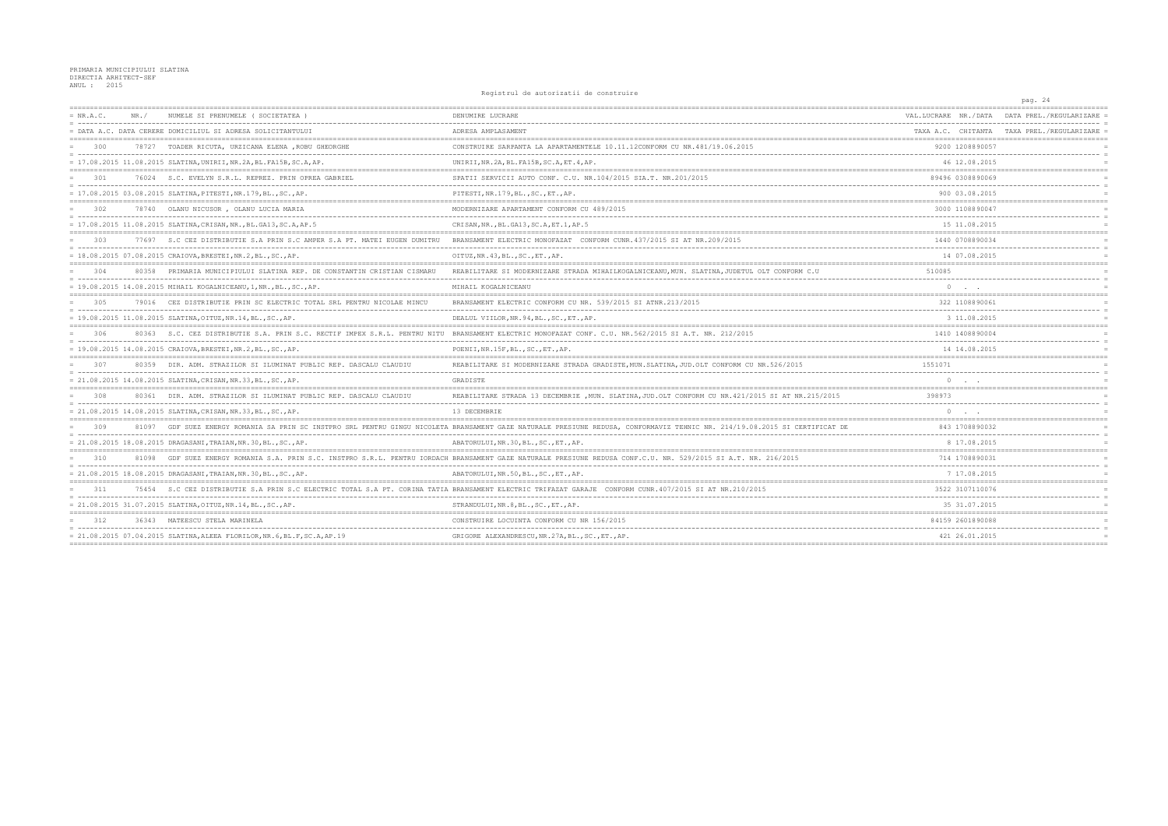```
Registrul de autorizatii de construire
```

|             |       |                                                                          | REGISTING AC GALLISALLI AS CONSTRIPTS                                                                                                                                 |                      | pag. 24                                    |
|-------------|-------|--------------------------------------------------------------------------|-----------------------------------------------------------------------------------------------------------------------------------------------------------------------|----------------------|--------------------------------------------|
| $= NR.A.C.$ | NR .  | NUMELE SI PRENUMELE ( SOCIETATEA                                         | DENUMIRE LUCRARE                                                                                                                                                      | VAL.LUCRARE NR./DATA | DATA PREL./REGULARIZARE                    |
|             |       | - DATA A.C. DATA CERERE DOMICILIUL SI ADRESA SOLICITANTULUI              | ADRESA AMPLASAMENT                                                                                                                                                    |                      | TAXA A.C. CHITANTA TAXA PREL./REGULARIZARE |
| 300         | 78727 | TOADER RICUTA, URZICANA ELENA , ROBU GHEORGHE                            | CONSTRUIRE SARPANTA LA APARTAMENTELE 10.11.12CONFORM CU NR.481/19.06.2015                                                                                             | 9200 1208890057      |                                            |
|             |       | = 17.08.2015 11.08.2015 SLATINA, UNIRII, NR.2A, BL.FA15B, SC.A, AP.      | UNIRII, NR. 2A, BL. FA15B, SC. A, ET. 4, AP.                                                                                                                          | 46 12.08.2015        |                                            |
| 301         |       | 76024 S.C. EVELYN S.R.L. REPREZ. PRIN OPREA GABRIEL                      | SPATII SERVICII AUTO CONF. C.U. NR.104/2015 SIA.T. NR.201/2015                                                                                                        | 89496 0308890069     |                                            |
|             |       | = 17.08.2015 03.08.2015 SLATINA, PITESTI, NR.179, BL., SC., AP.          | PITESTI, NR.179, BL., SC., ET., AP.                                                                                                                                   | 900 03.08.2015       |                                            |
| 302         |       | 78740 OLANU NICUSOR, OLANU LUCIA MARIA                                   | MODERNIZARE APARTAMENT CONFORM CU 489/2015                                                                                                                            | 3000 1108890047      |                                            |
|             |       | = 17.08.2015 11.08.2015 SLATINA, CRISAN, NR., BL. GA13, SC. A, AP. 5     | CRISAN, NR., BL. GA13, SC. A, ET. 1, AP. 5                                                                                                                            | 15 11.08.2015        |                                            |
| 303         |       | 77697 S.C CEZ DISTRIBUTIE S.A PRIN S.C AMPER S.A PT. MATEI EUGEN DUMITRU | BRANSAMENT ELECTRIC MONOFAZAT CONFORM CUNR. 437/2015 SI AT NR. 209/2015                                                                                               | 1440 0708890034      |                                            |
|             |       | = 18.08.2015 07.08.2015 CRAIOVA, BRESTEI, NR.2, BL., SC., AP.            | OITUZ, NR. 43, BL., SC., ET., AP.                                                                                                                                     | 14 07.08.2015        |                                            |
| 304         |       | 80358 PRIMARIA MUNICIPIULUI SLATINA REP. DE CONSTANTIN CRISTIAN CISMARU  | REABILITARE SI MODERNIZARE STRADA MIHAILKOGALNICEANU, MUN. SLATINA, JUDETUL OLT CONFORM C.U                                                                           | 510085               |                                            |
|             |       | = 19.08.2015 14.08.2015 MIHAIL KOGALNICEANU, 1, NR., BL., SC., AP.       | MIHAIL KOGALNICEANU                                                                                                                                                   | $\circ$              |                                            |
| 305         |       | 79016 CEZ DISTRIBUTIE PRIN SC ELECTRIC TOTAL SRL PENTRU NICOLAE MINCU    | BRANSAMENT ELECTRIC CONFORM CU NR. 539/2015 SI ATNR.213/2015                                                                                                          | 322 1108890061       |                                            |
|             |       | $= 19.08.2015 11.08.2015 SLATINA, OTUZ, NR.14, BL., SC., AP.$            | DEALUL VIILOR, NR. 94, BL., SC., ET., AP.                                                                                                                             | 3 11.08.2015         |                                            |
| 306         | 80363 | S.C. CEZ DISTRIBUTIE S.A. PRIN S.C. RECTIF IMPEX S.R.L. PENTRU NITU      | BRANSAMENT ELECTRIC MONOFAZAT CONF. C.U. NR. 562/2015 SI A.T. NR. 212/2015                                                                                            | 1410 1408890004      |                                            |
|             |       | = 19.08.2015 14.08.2015 CRAIOVA, BRESTEI, NR.2, BL., SC., AP.            | POENII, NR.15F, BL., SC., ET., AP.                                                                                                                                    | 14 14.08.2015        |                                            |
| 307         |       | 80359 DIR. ADM. STRAZILOR SI ILUMINAT PUBLIC REP. DASCALU CLAUDIU        | REABILITARE SI MODERNIZARE STRADA GRADISTE, MUN. SLATINA, JUD. OLT CONFORM CU NR. 526/2015                                                                            | 1551071              |                                            |
|             |       | $= 21.08.2015 14.08.2015 SLATINA, CRISAN, NR.33, BL., SC., AP.$          | GRADISTE                                                                                                                                                              | $\cap$               |                                            |
| 308         |       | 80361 DIR. ADM. STRAZILOR SI ILUMINAT PUBLIC REP. DASCALU CLAUDIU        | REABILITARE STRADA 13 DECEMBRIE , MUN. SLATINA, JUD. OLT CONFORM CU NR. 421/2015 SI AT NR. 215/2015                                                                   | 398973               |                                            |
|             |       | = 21.08.2015 14.08.2015 SLATINA, CRISAN, NR.33, BL., SC., AP.            | 13 DECEMBRIE                                                                                                                                                          |                      |                                            |
| 309         | 81097 |                                                                          | GDF SUEZ ENERGY ROMANIA SA PRIN SC INSTPRO SRL PENTRU GINGU NICOLETA BRANSAMENT GAZE NATURALE PRESIUNE REDUSA, CONFORMAVIZ TEHNIC NR. 214/19.08.2015 SI CERTIFICAT DE | 843 1708890032       |                                            |
|             |       | = 21.08.2015 18.08.2015 DRAGASANI, TRAIAN, NR.30, BL., SC., AP.          | ABATORULUI, NR.30, BL., SC., ET., AP.                                                                                                                                 | 8 17.08.2015         |                                            |
| 310         |       |                                                                          | 81098 GDF SUEZ ENERGY ROMANIA S.A. PRIN S.C. INSTPRO S.R.L. PENTRU IORDACH BRANSAMENT GAZE NATURALE PRESIUNE REDUSA CONF.C.U. NR. 529/2015 SI A.T. NR. 216/2015       | 714 1708890031       |                                            |
|             |       | = 21.08.2015 18.08.2015 DRAGASANI, TRAIAN, NR.30, BL., SC., AP.          | ABATORULUI, NR.50, BL., SC., ET., AP.                                                                                                                                 | 7 17.08.2015         |                                            |
| 311         |       |                                                                          | 75454 S.C CEZ DISTRIBUTIE S.A PRIN S.C ELECTRIC TOTAL S.A PT. CORINA TATIA BRANSAMENT ELECTRIC TRIFAZAT GARAJE CONFORM CUNR.407/2015 SI AT NR.210/2015                | 3522 3107110076      |                                            |
|             |       | = 21.08.2015 31.07.2015 SLATINA, OITUZ, NR.14, BL., SC., AP.             | STRANDULUI, NR. 8, BL., SC., ET., AP.                                                                                                                                 | 35 31.07.2015        |                                            |
| 312         |       | 36343 MATEESCU STELA MARINELA                                            | CONSTRUIRE LOCUINTA CONFORM CU NR 156/2015                                                                                                                            | 84159 2601890088     |                                            |
|             |       | = 21.08.2015 07.04.2015 SLATINA, ALEEA FLORILOR, NR.6, BL.F, SC.A, AP.19 | GRIGORE ALEXANDRESCU, NR. 27A, BL., SC., ET., AP.                                                                                                                     | 421 26.01.2015       |                                            |
|             |       |                                                                          |                                                                                                                                                                       |                      |                                            |